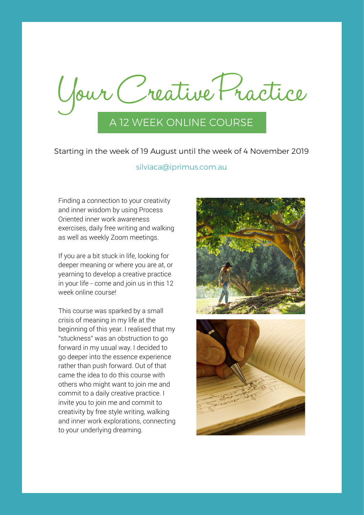Your Creative Practice A 12 WEEK ONLINE COURSE

Starting in the week of 19 August until the week of 4 November 2019

### silviaca@iprimus.com.au

Finding a connection to your creativity and inner wisdom by using Process Oriented inner work awareness exercises, daily free writing and walking as well as weekly Zoom meetings.

If you are a bit stuck in life, looking for deeper meaning or where you are at, or yearning to develop a creative practice in your life - come and join us in this 12 week online course!

This course was sparked by a small crisis of meaning in my life at the beginning of this year. I realised that my "stuckness" was an obstruction to go forward in my usual way. I decided to go deeper into the essence experience rather than push forward. Out of that came the idea to do this course with others who might want to join me and commit to a daily creative practice. I invite you to join me and commit to creativity by free style writing, walking and inner work explorations, connecting to your underlying dreaming.



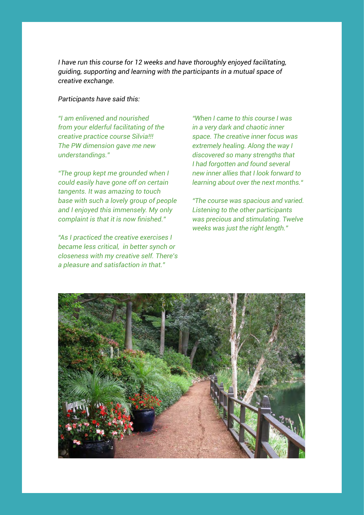*I have run this course for 12 weeks and have thoroughly enjoyed facilitating, guiding, supporting and learning with the participants in a mutual space of creative exchange.* 

## *Participants have said this:*

*"I am enlivened and nourished from your elderful facilitating of the creative practice course Silvia!!! The PW dimension gave me new understandings."*

*"The group kept me grounded when I could easily have gone off on certain tangents. It was amazing to touch base with such a lovely group of people and I enjoyed this immensely. My only complaint is that it is now finished."*

*"As I practiced the creative exercises I became less critical, in better synch or closeness with my creative self. There's a pleasure and satisfaction in that."*

*"When I came to this course I was in a very dark and chaotic inner space. The creative inner focus was extremely healing. Along the way I discovered so many strengths that I had forgotten and found several new inner allies that I look forward to learning about over the next months."*

*"The course was spacious and varied. Listening to the other participants was precious and stimulating. Twelve weeks was just the right length."*

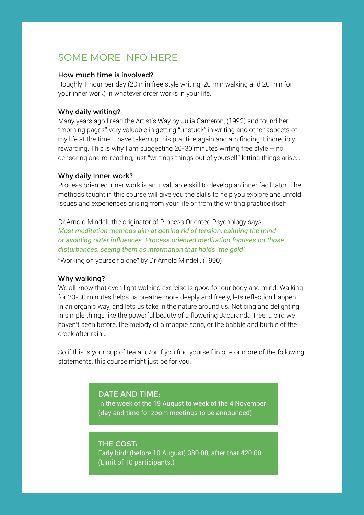## SOME MORE INFO HERE

### How much time is involved?

Roughly 1 hour per day (20 min free style writing, 20 min walking and 20 min for your inner work) in whatever order works in your life.

### Why daily writing?

Many years ago I read the Artist's Way by Julia Cameron, (1992) and found her "morning pages" very valuable in getting "unstuck" in writing and other aspects of my life at the time. I have taken up this practice again and am finding it incredibly rewarding. This is why I am suggesting 20-30 minutes writing free style – no censoring and re-reading, just "writings things out of yourself" letting things arise…

### Why daily Inner work?

Process oriented inner work is an invaluable skill to develop an inner facilitator. The methods taught in this course will give you the skills to help you explore and unfold issues and experiences arising from your life or from the writing practice itself.

Dr Arnold Mindell, the originator of Process Oriented Psychology says: *Most meditation methods aim at getting rid of tension, calming the mind or avoiding outer influences. Process oriented meditation focuses on those disturbances, seeing them as information that holds 'the gold'*  "Working on yourself alone" by Dr Arnold Mindell, (1990)

### Why walking?

We all know that even light walking exercise is good for our body and mind. Walking for 20-30 minutes helps us breathe more deeply and freely, lets reflection happen in an organic way, and lets us take in the nature around us. Noticing and delighting in simple things like the powerful beauty of a flowering Jacaranda Tree, a bird we haven't seen before, the melody of a magpie song, or the babble and burble of the creek after rain…

So if this is your cup of tea and/or if you find yourself in one or more of the following statements, this course might just be for you.

## DATE AND TIME:

In the week of the 19 August to week of the 4 November (day and time for zoom meetings to be announced)

### THE COST:

Early bird: (before 10 August) 380.00, after that 420.00 (Limit of 10 participants.)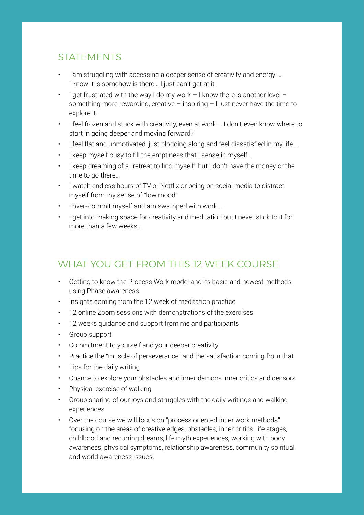## STATEMENTS

- I am struggling with accessing a deeper sense of creativity and energy .... I know it is somehow is there… I just can't get at it
- I get frustrated with the way I do my work  $-1$  know there is another level  $$ something more rewarding, creative – inspiring  $-1$  just never have the time to explore it.
- I feel frozen and stuck with creativity, even at work … I don't even know where to start in going deeper and moving forward?
- I feel flat and unmotivated, just plodding along and feel dissatisfied in my life …
- I keep myself busy to fill the emptiness that I sense in myself...
- I keep dreaming of a "retreat to find myself" but I don't have the money or the time to go there…
- I watch endless hours of TV or Netflix or being on social media to distract myself from my sense of "low mood"
- I over-commit myself and am swamped with work …
- I get into making space for creativity and meditation but I never stick to it for more than a few weeks…

# WHAT YOU GET FROM THIS 12 WEEK COURSE

- Getting to know the Process Work model and its basic and newest methods using Phase awareness
- Insights coming from the 12 week of meditation practice
- 12 online Zoom sessions with demonstrations of the exercises
- 12 weeks guidance and support from me and participants
- Group support
- Commitment to yourself and your deeper creativity
- Practice the "muscle of perseverance" and the satisfaction coming from that
- Tips for the daily writing
- Chance to explore your obstacles and inner demons inner critics and censors
- Physical exercise of walking
- Group sharing of our joys and struggles with the daily writings and walking experiences
- Over the course we will focus on "process oriented inner work methods" focusing on the areas of creative edges, obstacles, inner critics, life stages, childhood and recurring dreams, life myth experiences, working with body awareness, physical symptoms, relationship awareness, community spiritual and world awareness issues.